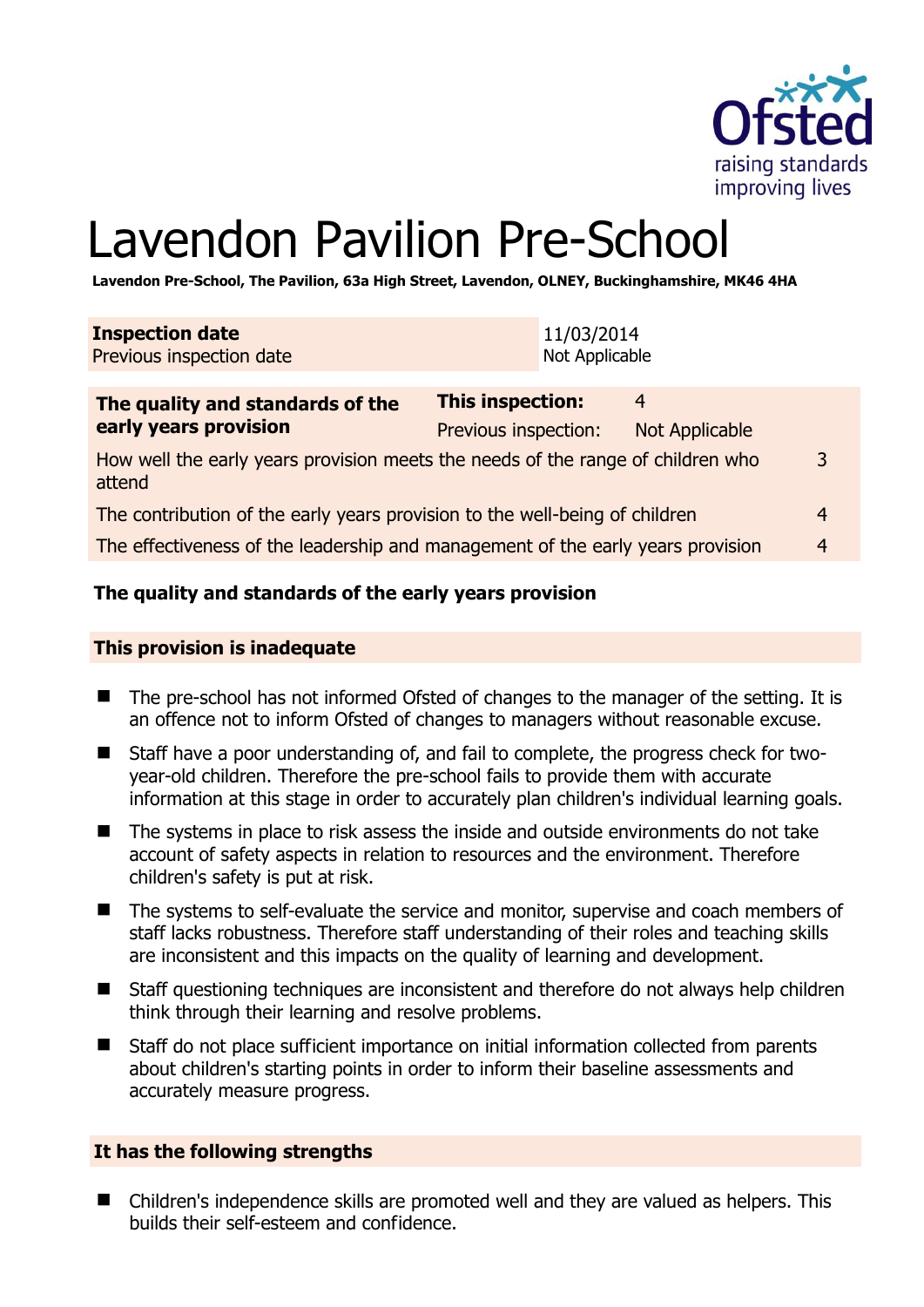

# Lavendon Pavilion Pre-School

**Lavendon Pre-School, The Pavilion, 63a High Street, Lavendon, OLNEY, Buckinghamshire, MK46 4HA** 

| <b>Inspection date</b><br>Previous inspection date | 11/03/2014<br>Not Applicable |                |  |
|----------------------------------------------------|------------------------------|----------------|--|
| The quality and standards of the                   | <b>This inspection:</b>      | $\overline{4}$ |  |

| early years provision                                                                     | Previous inspection: | Not Applicable |   |
|-------------------------------------------------------------------------------------------|----------------------|----------------|---|
| How well the early years provision meets the needs of the range of children who<br>attend |                      |                | 3 |
| The contribution of the early years provision to the well-being of children               |                      |                | 4 |
| The effectiveness of the leadership and management of the early years provision           |                      |                | 4 |

#### **The quality and standards of the early years provision**

#### **This provision is inadequate**

- The pre-school has not informed Ofsted of changes to the manager of the setting. It is an offence not to inform Ofsted of changes to managers without reasonable excuse.
- Staff have a poor understanding of, and fail to complete, the progress check for twoyear-old children. Therefore the pre-school fails to provide them with accurate information at this stage in order to accurately plan children's individual learning goals.
- The systems in place to risk assess the inside and outside environments do not take account of safety aspects in relation to resources and the environment. Therefore children's safety is put at risk.
- The systems to self-evaluate the service and monitor, supervise and coach members of staff lacks robustness. Therefore staff understanding of their roles and teaching skills are inconsistent and this impacts on the quality of learning and development.
- Staff questioning techniques are inconsistent and therefore do not always help children think through their learning and resolve problems.
- Staff do not place sufficient importance on initial information collected from parents about children's starting points in order to inform their baseline assessments and accurately measure progress.

#### **It has the following strengths**

■ Children's independence skills are promoted well and they are valued as helpers. This builds their self-esteem and confidence.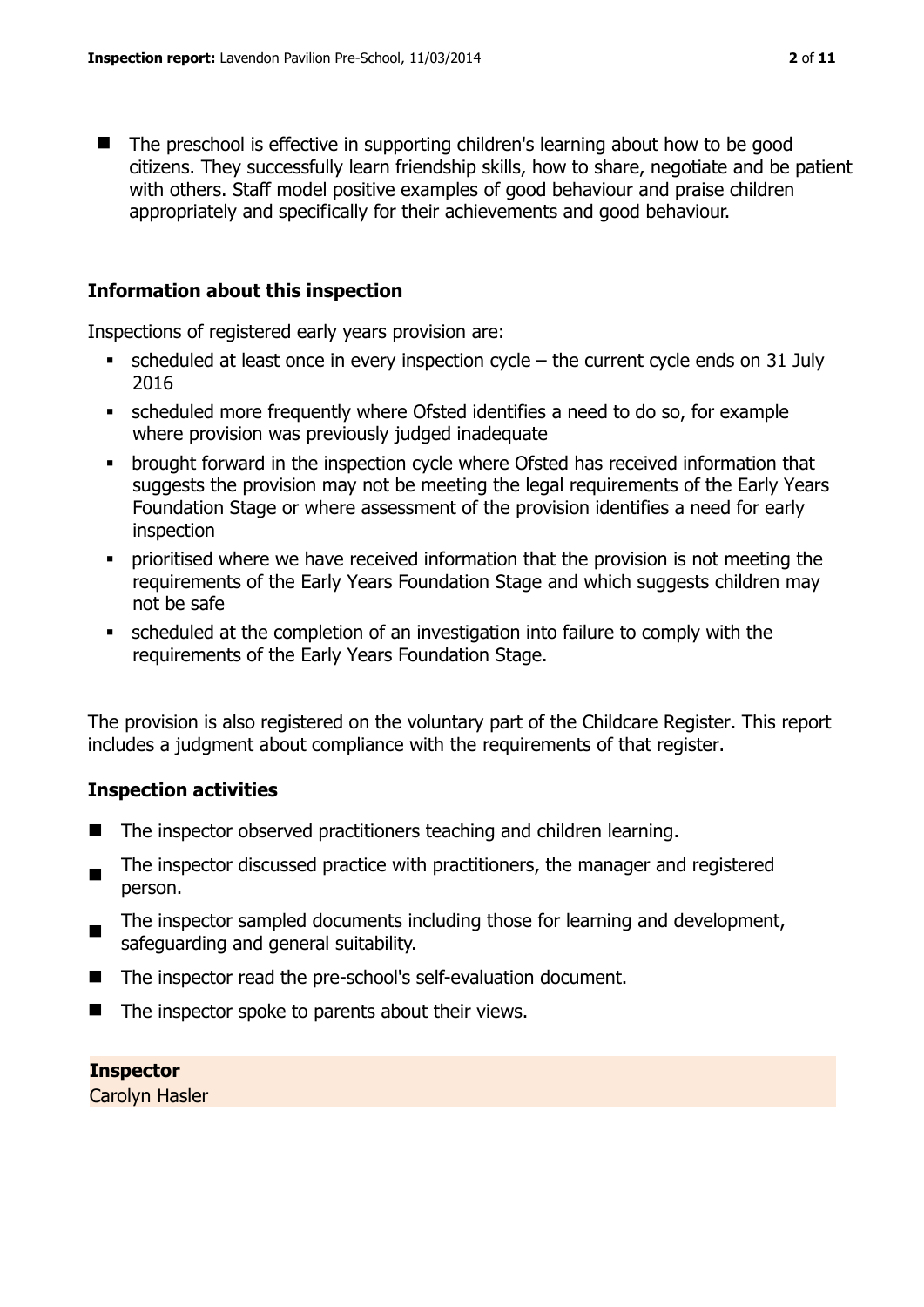■ The preschool is effective in supporting children's learning about how to be good citizens. They successfully learn friendship skills, how to share, negotiate and be patient with others. Staff model positive examples of good behaviour and praise children appropriately and specifically for their achievements and good behaviour.

#### **Information about this inspection**

Inspections of registered early years provision are:

- scheduled at least once in every inspection cycle the current cycle ends on 31 July 2016
- scheduled more frequently where Ofsted identifies a need to do so, for example where provision was previously judged inadequate
- **•** brought forward in the inspection cycle where Ofsted has received information that suggests the provision may not be meeting the legal requirements of the Early Years Foundation Stage or where assessment of the provision identifies a need for early inspection
- prioritised where we have received information that the provision is not meeting the requirements of the Early Years Foundation Stage and which suggests children may not be safe
- scheduled at the completion of an investigation into failure to comply with the requirements of the Early Years Foundation Stage.

The provision is also registered on the voluntary part of the Childcare Register. This report includes a judgment about compliance with the requirements of that register.

#### **Inspection activities**

- The inspector observed practitioners teaching and children learning.
- $\blacksquare$ The inspector discussed practice with practitioners, the manager and registered person.
- The inspector sampled documents including those for learning and development, safeguarding and general suitability.
- The inspector read the pre-school's self-evaluation document.
- $\blacksquare$  The inspector spoke to parents about their views.

#### **Inspector**

Carolyn Hasler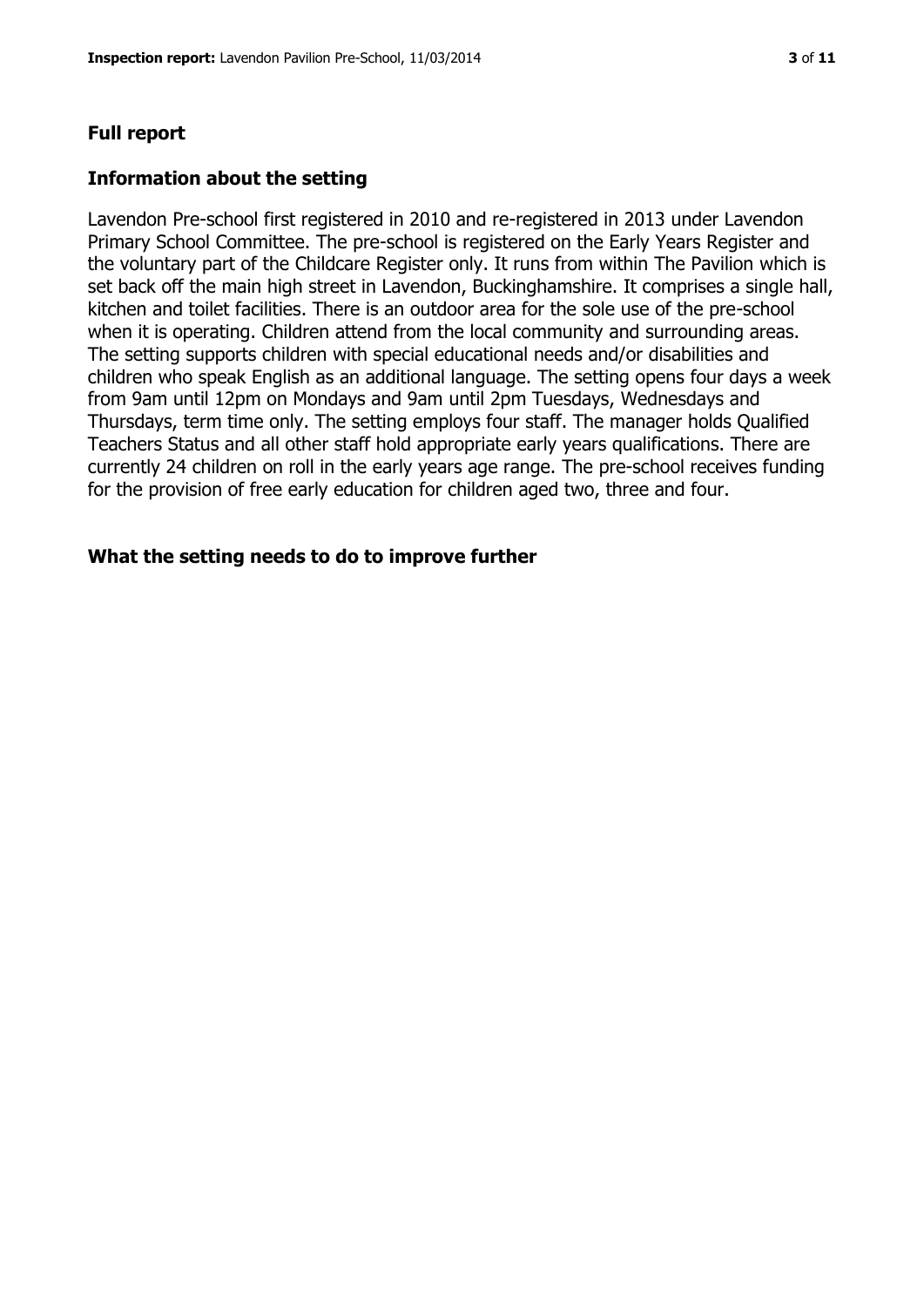#### **Full report**

#### **Information about the setting**

Lavendon Pre-school first registered in 2010 and re-registered in 2013 under Lavendon Primary School Committee. The pre-school is registered on the Early Years Register and the voluntary part of the Childcare Register only. It runs from within The Pavilion which is set back off the main high street in Lavendon, Buckinghamshire. It comprises a single hall, kitchen and toilet facilities. There is an outdoor area for the sole use of the pre-school when it is operating. Children attend from the local community and surrounding areas. The setting supports children with special educational needs and/or disabilities and children who speak English as an additional language. The setting opens four days a week from 9am until 12pm on Mondays and 9am until 2pm Tuesdays, Wednesdays and Thursdays, term time only. The setting employs four staff. The manager holds Qualified Teachers Status and all other staff hold appropriate early years qualifications. There are currently 24 children on roll in the early years age range. The pre-school receives funding for the provision of free early education for children aged two, three and four.

#### **What the setting needs to do to improve further**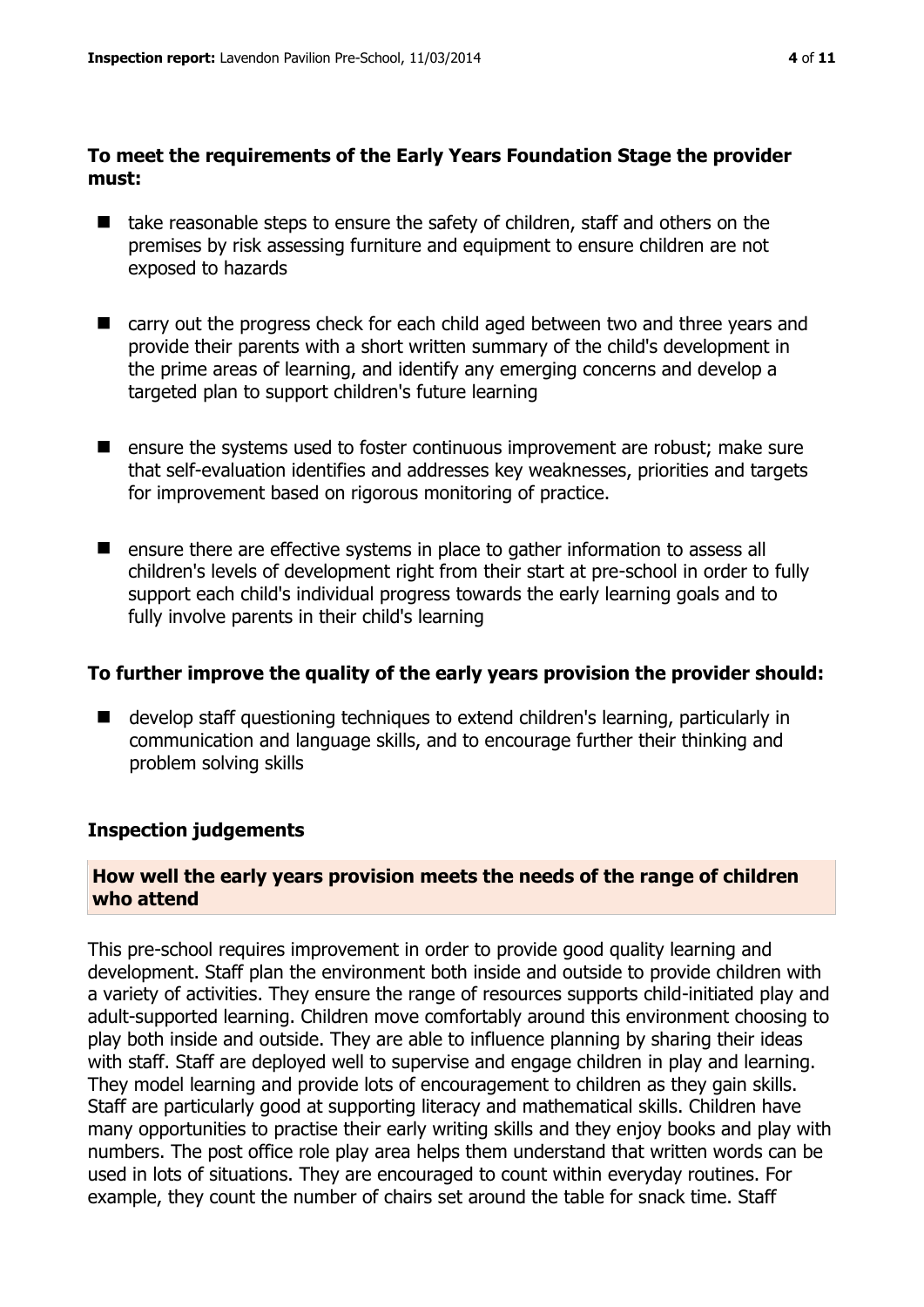#### **To meet the requirements of the Early Years Foundation Stage the provider must:**

- take reasonable steps to ensure the safety of children, staff and others on the premises by risk assessing furniture and equipment to ensure children are not exposed to hazards
- carry out the progress check for each child aged between two and three years and provide their parents with a short written summary of the child's development in the prime areas of learning, and identify any emerging concerns and develop a targeted plan to support children's future learning
- **E** ensure the systems used to foster continuous improvement are robust; make sure that self-evaluation identifies and addresses key weaknesses, priorities and targets for improvement based on rigorous monitoring of practice.
- ensure there are effective systems in place to gather information to assess all children's levels of development right from their start at pre-school in order to fully support each child's individual progress towards the early learning goals and to fully involve parents in their child's learning

#### **To further improve the quality of the early years provision the provider should:**

■ develop staff questioning techniques to extend children's learning, particularly in communication and language skills, and to encourage further their thinking and problem solving skills

#### **Inspection judgements**

#### **How well the early years provision meets the needs of the range of children who attend**

This pre-school requires improvement in order to provide good quality learning and development. Staff plan the environment both inside and outside to provide children with a variety of activities. They ensure the range of resources supports child-initiated play and adult-supported learning. Children move comfortably around this environment choosing to play both inside and outside. They are able to influence planning by sharing their ideas with staff. Staff are deployed well to supervise and engage children in play and learning. They model learning and provide lots of encouragement to children as they gain skills. Staff are particularly good at supporting literacy and mathematical skills. Children have many opportunities to practise their early writing skills and they enjoy books and play with numbers. The post office role play area helps them understand that written words can be used in lots of situations. They are encouraged to count within everyday routines. For example, they count the number of chairs set around the table for snack time. Staff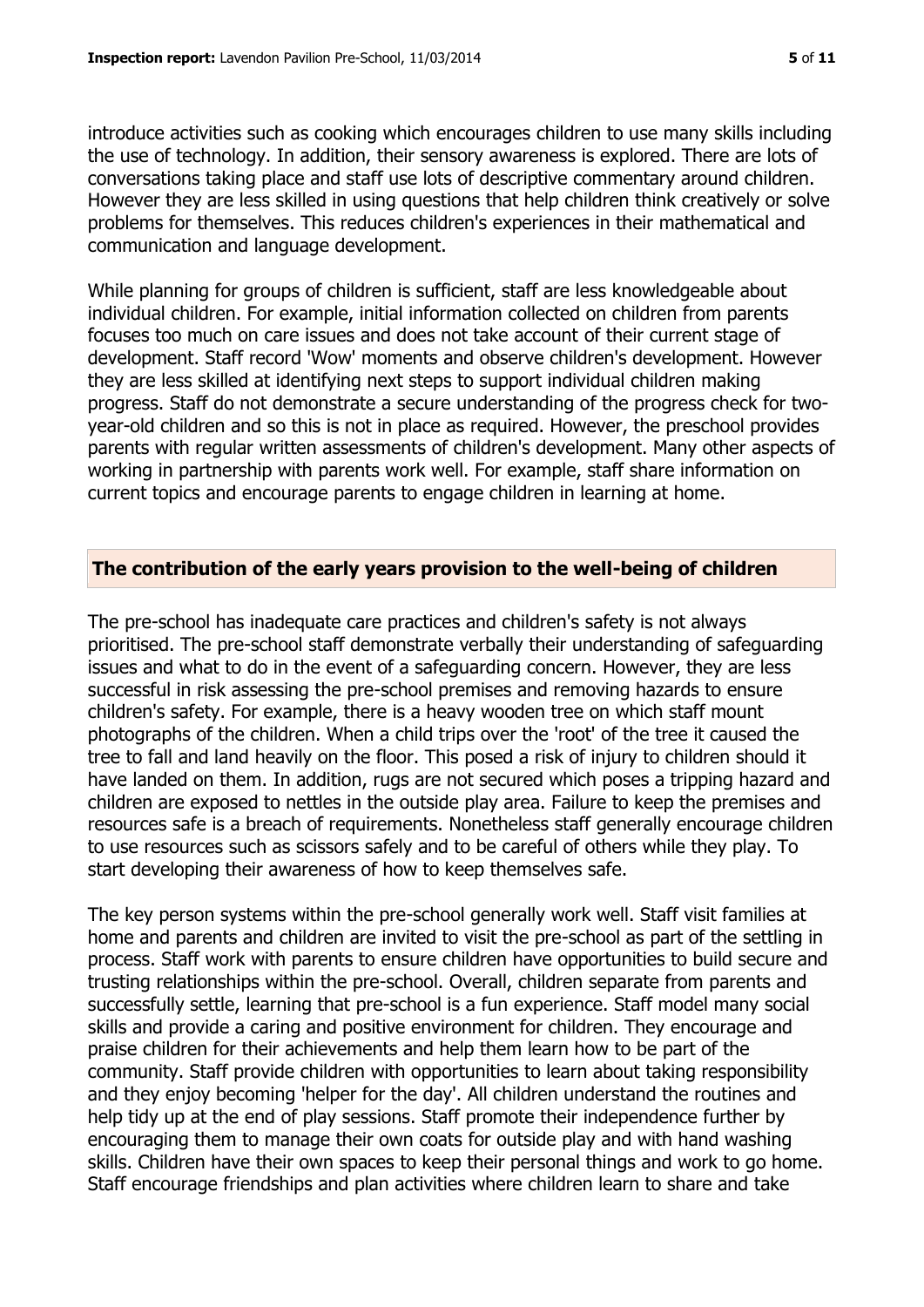introduce activities such as cooking which encourages children to use many skills including the use of technology. In addition, their sensory awareness is explored. There are lots of conversations taking place and staff use lots of descriptive commentary around children. However they are less skilled in using questions that help children think creatively or solve problems for themselves. This reduces children's experiences in their mathematical and communication and language development.

While planning for groups of children is sufficient, staff are less knowledgeable about individual children. For example, initial information collected on children from parents focuses too much on care issues and does not take account of their current stage of development. Staff record 'Wow' moments and observe children's development. However they are less skilled at identifying next steps to support individual children making progress. Staff do not demonstrate a secure understanding of the progress check for twoyear-old children and so this is not in place as required. However, the preschool provides parents with regular written assessments of children's development. Many other aspects of working in partnership with parents work well. For example, staff share information on current topics and encourage parents to engage children in learning at home.

#### **The contribution of the early years provision to the well-being of children**

The pre-school has inadequate care practices and children's safety is not always prioritised. The pre-school staff demonstrate verbally their understanding of safeguarding issues and what to do in the event of a safeguarding concern. However, they are less successful in risk assessing the pre-school premises and removing hazards to ensure children's safety. For example, there is a heavy wooden tree on which staff mount photographs of the children. When a child trips over the 'root' of the tree it caused the tree to fall and land heavily on the floor. This posed a risk of injury to children should it have landed on them. In addition, rugs are not secured which poses a tripping hazard and children are exposed to nettles in the outside play area. Failure to keep the premises and resources safe is a breach of requirements. Nonetheless staff generally encourage children to use resources such as scissors safely and to be careful of others while they play. To start developing their awareness of how to keep themselves safe.

The key person systems within the pre-school generally work well. Staff visit families at home and parents and children are invited to visit the pre-school as part of the settling in process. Staff work with parents to ensure children have opportunities to build secure and trusting relationships within the pre-school. Overall, children separate from parents and successfully settle, learning that pre-school is a fun experience. Staff model many social skills and provide a caring and positive environment for children. They encourage and praise children for their achievements and help them learn how to be part of the community. Staff provide children with opportunities to learn about taking responsibility and they enjoy becoming 'helper for the day'. All children understand the routines and help tidy up at the end of play sessions. Staff promote their independence further by encouraging them to manage their own coats for outside play and with hand washing skills. Children have their own spaces to keep their personal things and work to go home. Staff encourage friendships and plan activities where children learn to share and take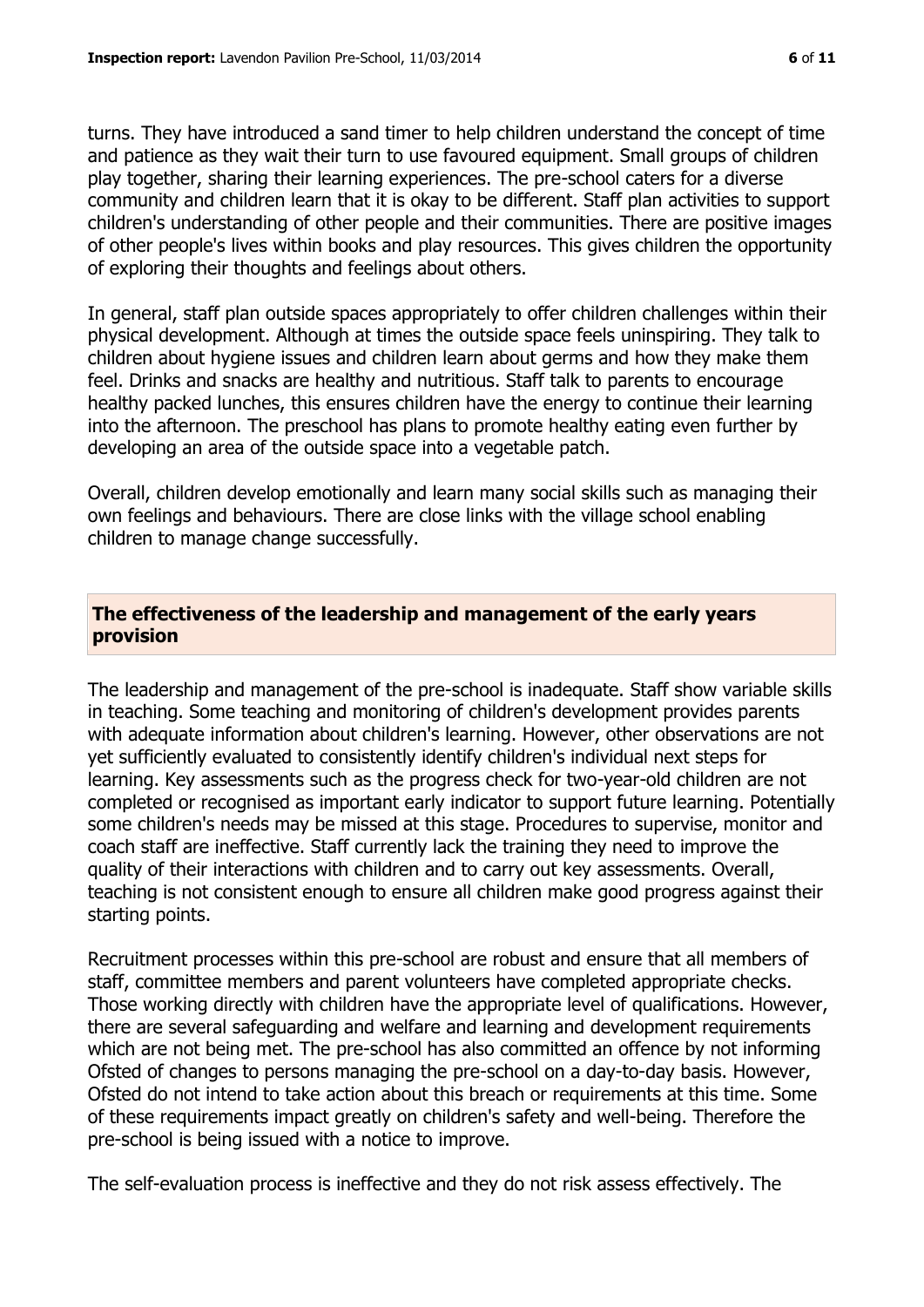turns. They have introduced a sand timer to help children understand the concept of time and patience as they wait their turn to use favoured equipment. Small groups of children play together, sharing their learning experiences. The pre-school caters for a diverse community and children learn that it is okay to be different. Staff plan activities to support children's understanding of other people and their communities. There are positive images of other people's lives within books and play resources. This gives children the opportunity of exploring their thoughts and feelings about others.

In general, staff plan outside spaces appropriately to offer children challenges within their physical development. Although at times the outside space feels uninspiring. They talk to children about hygiene issues and children learn about germs and how they make them feel. Drinks and snacks are healthy and nutritious. Staff talk to parents to encourage healthy packed lunches, this ensures children have the energy to continue their learning into the afternoon. The preschool has plans to promote healthy eating even further by developing an area of the outside space into a vegetable patch.

Overall, children develop emotionally and learn many social skills such as managing their own feelings and behaviours. There are close links with the village school enabling children to manage change successfully.

#### **The effectiveness of the leadership and management of the early years provision**

The leadership and management of the pre-school is inadequate. Staff show variable skills in teaching. Some teaching and monitoring of children's development provides parents with adequate information about children's learning. However, other observations are not yet sufficiently evaluated to consistently identify children's individual next steps for learning. Key assessments such as the progress check for two-year-old children are not completed or recognised as important early indicator to support future learning. Potentially some children's needs may be missed at this stage. Procedures to supervise, monitor and coach staff are ineffective. Staff currently lack the training they need to improve the quality of their interactions with children and to carry out key assessments. Overall, teaching is not consistent enough to ensure all children make good progress against their starting points.

Recruitment processes within this pre-school are robust and ensure that all members of staff, committee members and parent volunteers have completed appropriate checks. Those working directly with children have the appropriate level of qualifications. However, there are several safeguarding and welfare and learning and development requirements which are not being met. The pre-school has also committed an offence by not informing Ofsted of changes to persons managing the pre-school on a day-to-day basis. However, Ofsted do not intend to take action about this breach or requirements at this time. Some of these requirements impact greatly on children's safety and well-being. Therefore the pre-school is being issued with a notice to improve.

The self-evaluation process is ineffective and they do not risk assess effectively. The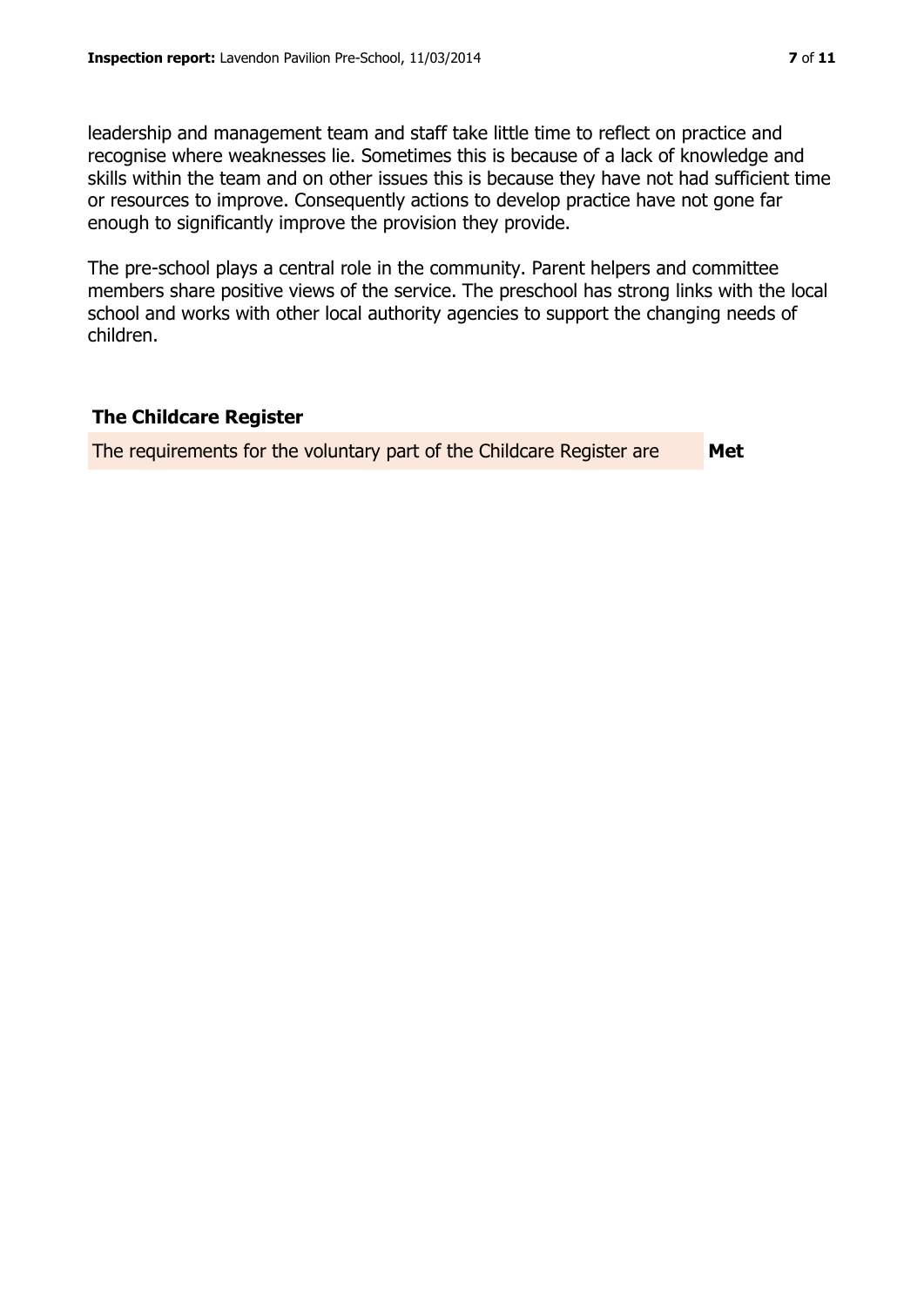leadership and management team and staff take little time to reflect on practice and recognise where weaknesses lie. Sometimes this is because of a lack of knowledge and skills within the team and on other issues this is because they have not had sufficient time or resources to improve. Consequently actions to develop practice have not gone far enough to significantly improve the provision they provide.

The pre-school plays a central role in the community. Parent helpers and committee members share positive views of the service. The preschool has strong links with the local school and works with other local authority agencies to support the changing needs of children.

#### **The Childcare Register**

The requirements for the voluntary part of the Childcare Register are **Met**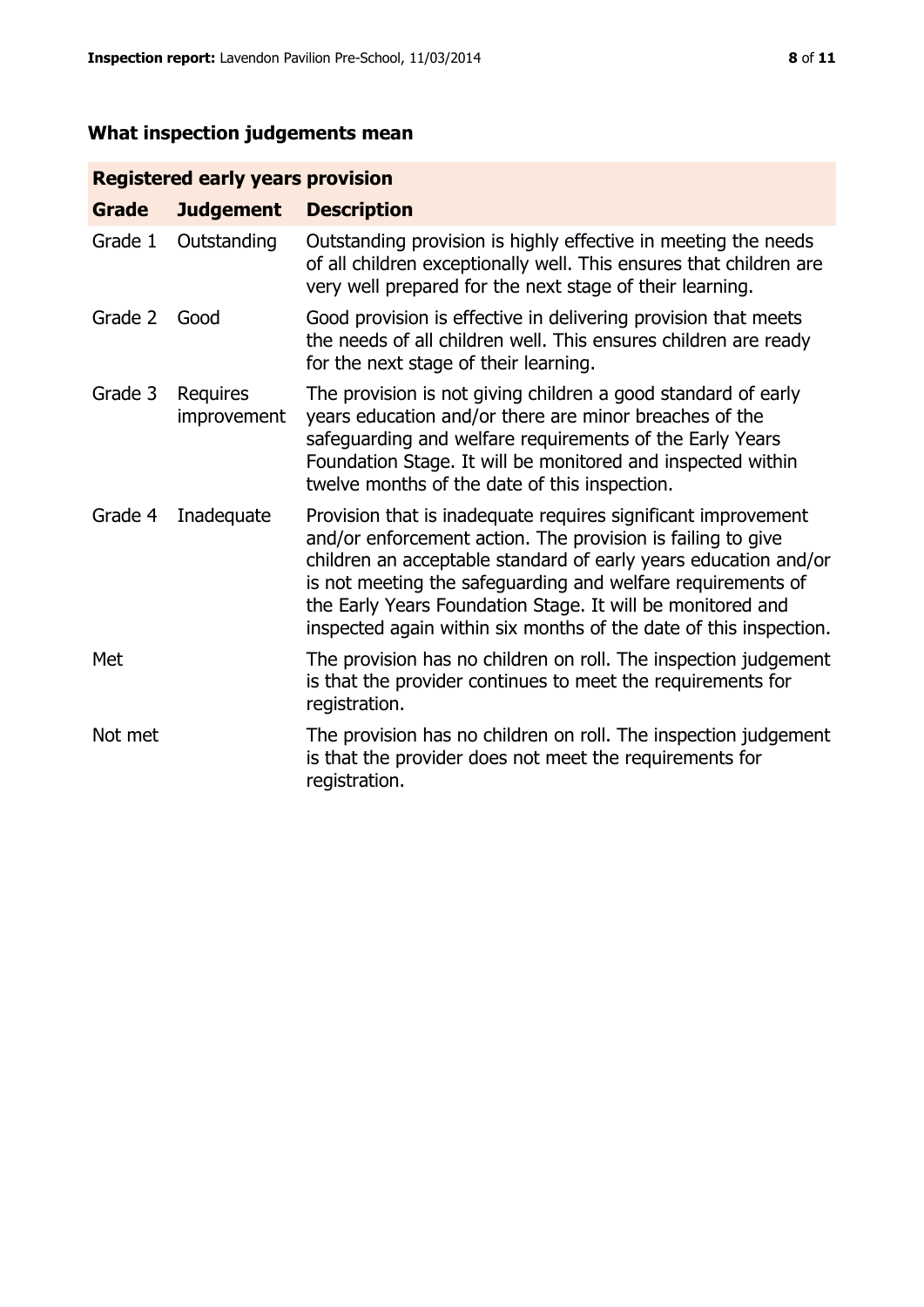# **What inspection judgements mean**

# **Registered early years provision**

| <b>Grade</b> | <b>Judgement</b>        | <b>Description</b>                                                                                                                                                                                                                                                                                                                                                                                |
|--------------|-------------------------|---------------------------------------------------------------------------------------------------------------------------------------------------------------------------------------------------------------------------------------------------------------------------------------------------------------------------------------------------------------------------------------------------|
| Grade 1      | Outstanding             | Outstanding provision is highly effective in meeting the needs<br>of all children exceptionally well. This ensures that children are<br>very well prepared for the next stage of their learning.                                                                                                                                                                                                  |
| Grade 2      | Good                    | Good provision is effective in delivering provision that meets<br>the needs of all children well. This ensures children are ready<br>for the next stage of their learning.                                                                                                                                                                                                                        |
| Grade 3      | Requires<br>improvement | The provision is not giving children a good standard of early<br>years education and/or there are minor breaches of the<br>safeguarding and welfare requirements of the Early Years<br>Foundation Stage. It will be monitored and inspected within<br>twelve months of the date of this inspection.                                                                                               |
| Grade 4      | Inadequate              | Provision that is inadequate requires significant improvement<br>and/or enforcement action. The provision is failing to give<br>children an acceptable standard of early years education and/or<br>is not meeting the safeguarding and welfare requirements of<br>the Early Years Foundation Stage. It will be monitored and<br>inspected again within six months of the date of this inspection. |
| Met          |                         | The provision has no children on roll. The inspection judgement<br>is that the provider continues to meet the requirements for<br>registration.                                                                                                                                                                                                                                                   |
| Not met      |                         | The provision has no children on roll. The inspection judgement<br>is that the provider does not meet the requirements for<br>registration.                                                                                                                                                                                                                                                       |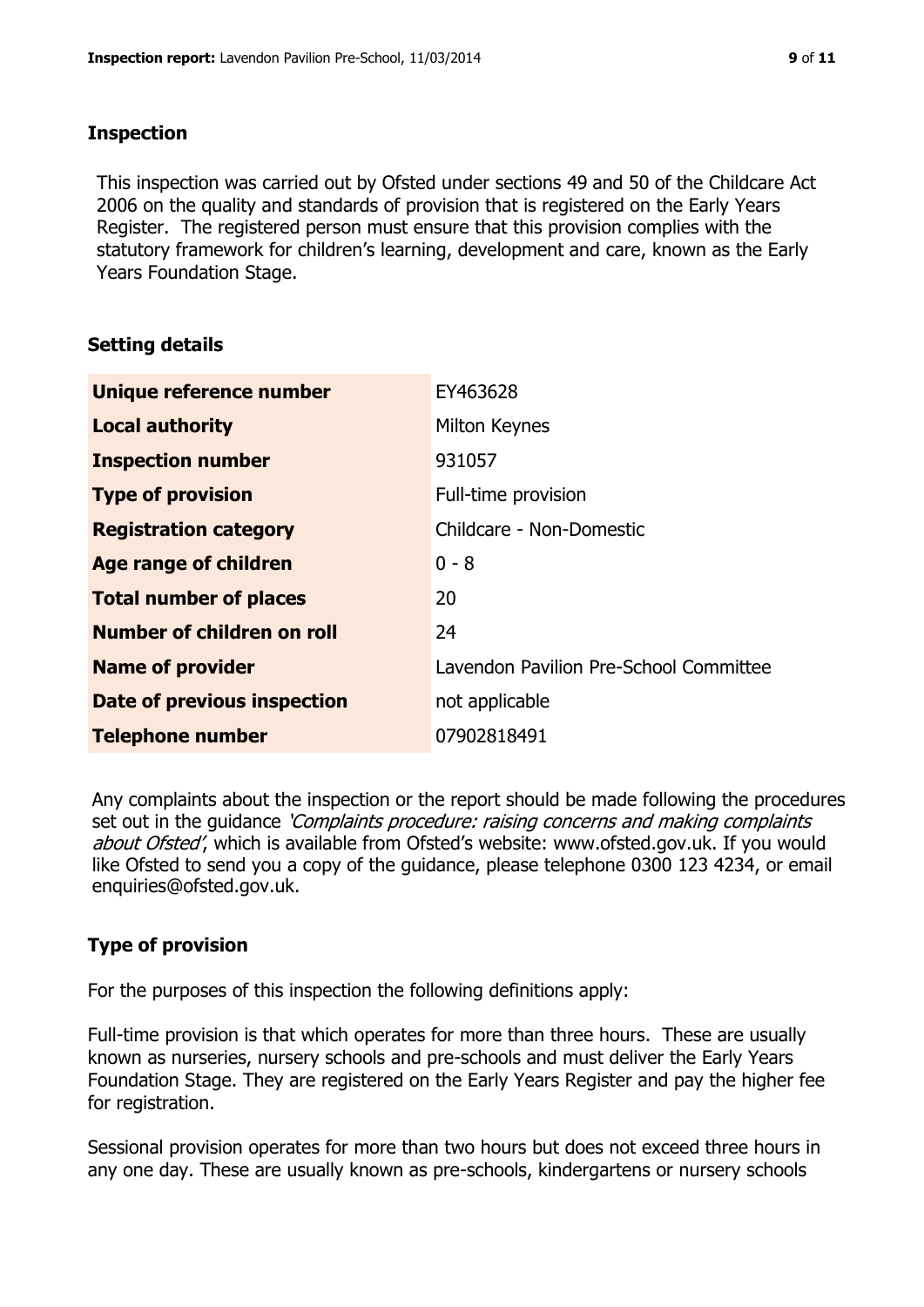### **Inspection**

This inspection was carried out by Ofsted under sections 49 and 50 of the Childcare Act 2006 on the quality and standards of provision that is registered on the Early Years Register. The registered person must ensure that this provision complies with the statutory framework for children's learning, development and care, known as the Early Years Foundation Stage.

## **Setting details**

| Unique reference number       | EY463628                               |
|-------------------------------|----------------------------------------|
| <b>Local authority</b>        | Milton Keynes                          |
| <b>Inspection number</b>      | 931057                                 |
| <b>Type of provision</b>      | Full-time provision                    |
| <b>Registration category</b>  | Childcare - Non-Domestic               |
| Age range of children         | $0 - 8$                                |
| <b>Total number of places</b> | 20                                     |
| Number of children on roll    | 24                                     |
| <b>Name of provider</b>       | Lavendon Pavilion Pre-School Committee |
| Date of previous inspection   | not applicable                         |
| <b>Telephone number</b>       | 07902818491                            |

Any complaints about the inspection or the report should be made following the procedures set out in the guidance *'Complaints procedure: raising concerns and making complaints* about Ofsted', which is available from Ofsted's website: www.ofsted.gov.uk. If you would like Ofsted to send you a copy of the guidance, please telephone 0300 123 4234, or email enquiries@ofsted.gov.uk.

# **Type of provision**

For the purposes of this inspection the following definitions apply:

Full-time provision is that which operates for more than three hours. These are usually known as nurseries, nursery schools and pre-schools and must deliver the Early Years Foundation Stage. They are registered on the Early Years Register and pay the higher fee for registration.

Sessional provision operates for more than two hours but does not exceed three hours in any one day. These are usually known as pre-schools, kindergartens or nursery schools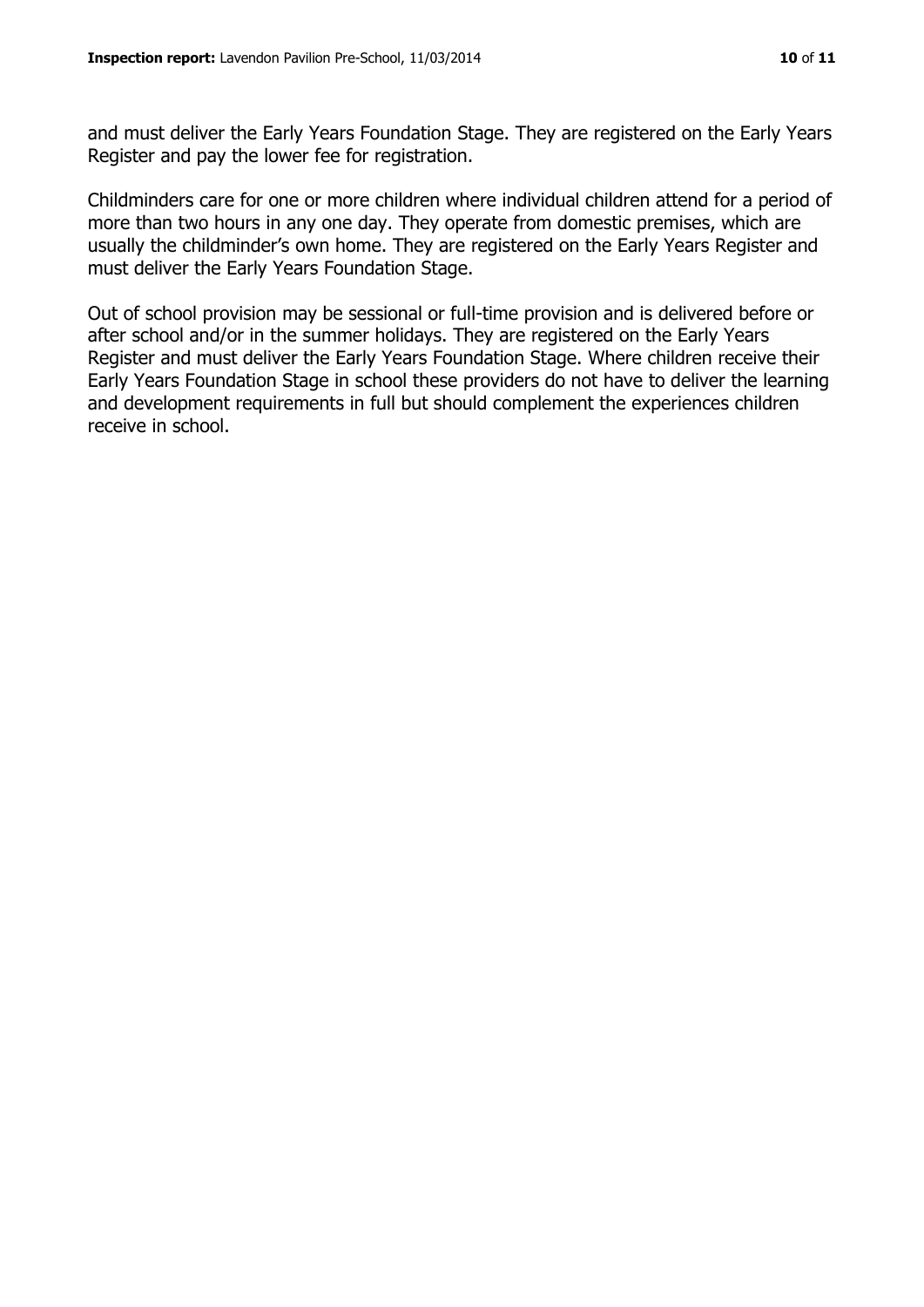and must deliver the Early Years Foundation Stage. They are registered on the Early Years Register and pay the lower fee for registration.

Childminders care for one or more children where individual children attend for a period of more than two hours in any one day. They operate from domestic premises, which are usually the childminder's own home. They are registered on the Early Years Register and must deliver the Early Years Foundation Stage.

Out of school provision may be sessional or full-time provision and is delivered before or after school and/or in the summer holidays. They are registered on the Early Years Register and must deliver the Early Years Foundation Stage. Where children receive their Early Years Foundation Stage in school these providers do not have to deliver the learning and development requirements in full but should complement the experiences children receive in school.